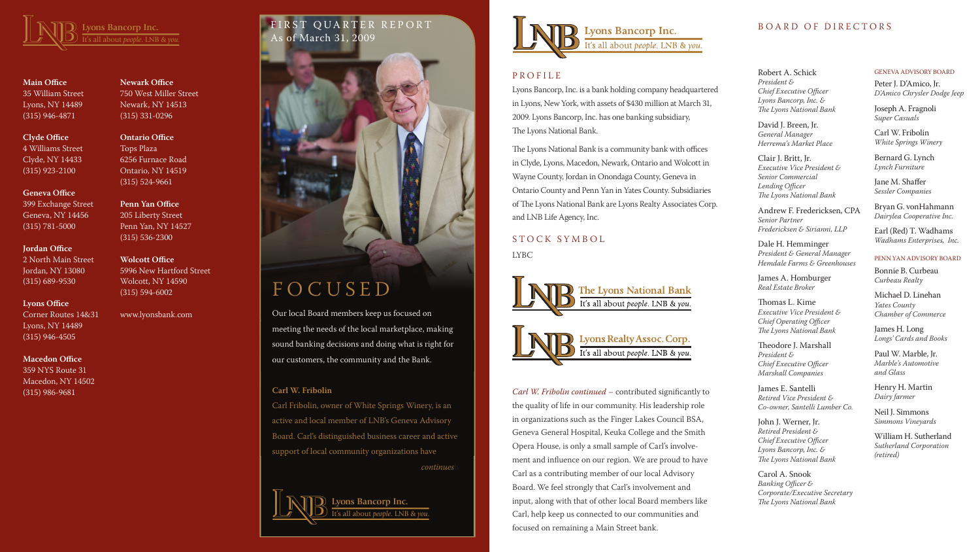# IRST QUARTER REPORT As of March 31, 2009





**Main Office** 35 William Street Lyons, NY 14489 (315) 946-4871

# **Clyde Office** 4 Williams Street Clyde, NY 14433 (315) 923-2100

**Geneva Office**

399 Exchange Street Geneva, NY 14456 (315) 781-5000

### **Jordan Office**

2 North Main Street Jordan, NY 13080 (315) 689-9530

# **Lyons Office**

Corner Routes 14&31 Lyons, NY 14489 (315) 946-4505

# **Macedon Office**

359 NYS Route 31 Macedon, NY 14502 (315) 986-9681

# **Newark Office**

750 West Miller Street Newark, NY 14513 (315) 331-0296

**Ontario Office** Tops Plaza 6256 Furnace Road Ontario, NY 14519 (315) 524-9661

**Penn Yan Office** 205 Liberty Street

Penn Yan, NY 14527 (315) 536-2300

# **Wolcott Office**

5996 New Hartford Street Wolcott, NY 14590 (315) 594-6002

www.lyonsbank.com

Lyons Bancorp, Inc. is a bank holding company headquartered in Lyons, New York, with assets of \$430 million at March 31, 2009. Lyons Bancorp, Inc. has one banking subsidiary, The Lyons National Bank.

The Lyons National Bank is a community bank with offices in Clyde, Lyons, Macedon, Newark, Ontario and Wolcott in Wayne County, Jordan in Onondaga County, Geneva in Ontario County and Penn Yan in Yates County. Subsidiaries of The Lyons National Bank are Lyons Realty Associates Corp. and LNB Life Agency, Inc.

# S T O C K S Y M B O L

LYBC



#### Robert A. Schick

*President & Chief Executive Officer Lyons Bancorp, Inc. & The Lyons National Bank*

David J. Breen, Jr. *General Manager Herrema's Market Place*

Clair J. Britt, Jr. *Executive Vice President & Senior Commercial Lending Officer The Lyons National Bank*

Andrew F. Fredericksen, CPA *Senior Partner Fredericksen & Sirianni, LLP*

Dale H. Hemminger *President & General Manager Hemdale Farms & Greenhouses*

James A. Homburger *Real Estate Broker*

Thomas L. Kime *Executive Vice President & Chief Operating Officer The Lyons National Bank*

Theodore J. Marshall *President & Chief Executive Officer Marshall Companies*

James E. Santelli *Retired Vice President & Co-owner, Santelli Lumber Co.*

John J. Werner, Jr. *Retired President & Chief Executive Officer Lyons Bancorp, Inc. & The Lyons National Bank*

Carol A. Snook *Banking Officer & Corporate/Executive Secretary The Lyons National Bank*

#### GENEVA ADVISORY BOARD

Peter J. D'Amico, Jr. *D'Amico Chrysler Dodge Jeep*

Joseph A. Fragnoli *Super Casuals*

Carl W. Fribolin *White Springs Winery*

Bernard G. Lynch *Lynch Furniture*

Jane M. Shaffer *Sessler Companies*

Bryan G. vonHahmann *Dairylea Cooperative Inc.*

Earl (Red) T. Wadhams *Wadhams Enterprises, Inc.*

#### PENN YAN ADVISORY BOARD

Bonnie B. Curbeau *Curbeau Realty*

Michael D. Linehan *Yates County Chamber of Commerce*

James H. Long *Longs' Cards and Books*

Paul W. Marble, Jr. *Marble's Automotive and Glass*

Henry H. Martin *Dairy farmer*

Neil J. Simmons *Simmons Vineyards*

William H. Sutherland *Sutherland Corporation (retired)*

# F O C U S E D

Our local Board members keep us focused on meeting the needs of the local marketplace, making sound banking decisions and doing what is right for our customers, the community and the Bank.

# **Carl W. Fribolin**

Carl Fribolin, owner of White Springs Winery, is an active and local member of LNB's Geneva Advisory Board. Carl's distinguished business career and active support of local community organizations have

*continues* 

Lyons Bancorp Inc. all about *people*. LNB & vou



# **P R O F I L E**

*Carl W. Fribolin continued* – contributed significantly to the quality of life in our community. His leadership role in organizations such as the Finger Lakes Council BSA, Geneva General Hospital, Keuka College and the Smith Opera House, is only a small sample of Carl's involvement and influence on our region. We are proud to have Carl as a contributing member of our local Advisory Board. We feel strongly that Carl's involvement and input, along with that of other local Board members like Carl, help keep us connected to our communities and focused on remaining a Main Street bank.

# BOARD OF DIRECTORS